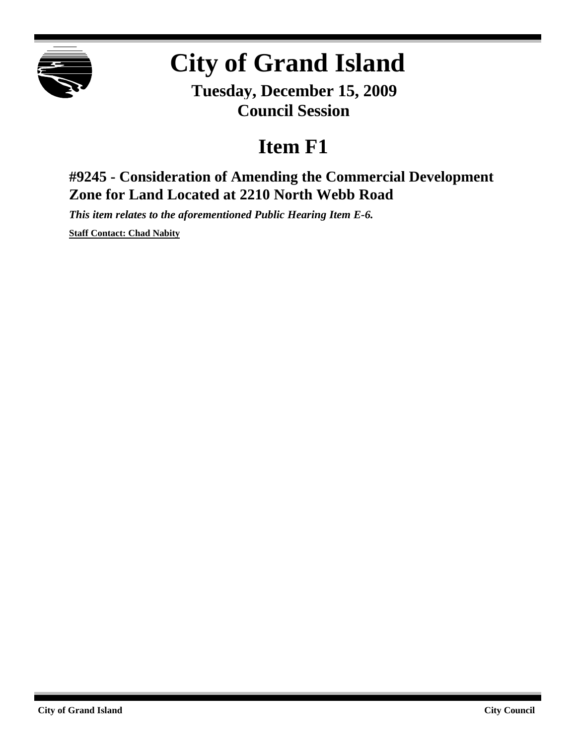

# **City of Grand Island**

**Tuesday, December 15, 2009 Council Session**

## **Item F1**

### **#9245 - Consideration of Amending the Commercial Development Zone for Land Located at 2210 North Webb Road**

*This item relates to the aforementioned Public Hearing Item E-6.*

**Staff Contact: Chad Nabity**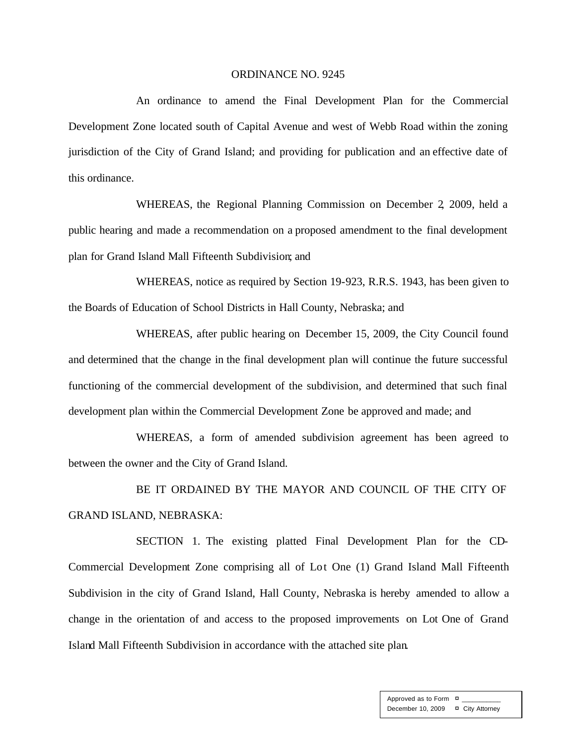#### ORDINANCE NO. 9245

An ordinance to amend the Final Development Plan for the Commercial Development Zone located south of Capital Avenue and west of Webb Road within the zoning jurisdiction of the City of Grand Island; and providing for publication and an effective date of this ordinance.

WHEREAS, the Regional Planning Commission on December 2, 2009, held a public hearing and made a recommendation on a proposed amendment to the final development plan for Grand Island Mall Fifteenth Subdivision; and

WHEREAS, notice as required by Section 19-923, R.R.S. 1943, has been given to the Boards of Education of School Districts in Hall County, Nebraska; and

WHEREAS, after public hearing on December 15, 2009, the City Council found and determined that the change in the final development plan will continue the future successful functioning of the commercial development of the subdivision, and determined that such final development plan within the Commercial Development Zone be approved and made; and

WHEREAS, a form of amended subdivision agreement has been agreed to between the owner and the City of Grand Island.

BE IT ORDAINED BY THE MAYOR AND COUNCIL OF THE CITY OF GRAND ISLAND, NEBRASKA:

SECTION 1. The existing platted Final Development Plan for the CD-Commercial Development Zone comprising all of Lot One (1) Grand Island Mall Fifteenth Subdivision in the city of Grand Island, Hall County, Nebraska is hereby amended to allow a change in the orientation of and access to the proposed improvements on Lot One of Grand Island Mall Fifteenth Subdivision in accordance with the attached site plan.

> Approved as to Form  $\overline{a}$ December 10, 2009 ¤ City Attorney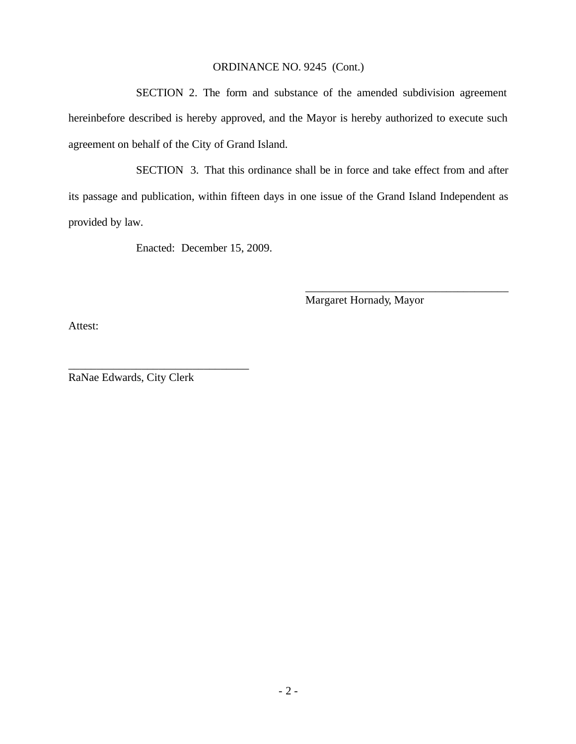#### ORDINANCE NO. 9245 (Cont.)

SECTION 2. The form and substance of the amended subdivision agreement hereinbefore described is hereby approved, and the Mayor is hereby authorized to execute such agreement on behalf of the City of Grand Island.

SECTION 3. That this ordinance shall be in force and take effect from and after its passage and publication, within fifteen days in one issue of the Grand Island Independent as provided by law.

Enacted: December 15, 2009.

Margaret Hornady, Mayor

\_\_\_\_\_\_\_\_\_\_\_\_\_\_\_\_\_\_\_\_\_\_\_\_\_\_\_\_\_\_\_\_\_\_\_\_

Attest:

RaNae Edwards, City Clerk

\_\_\_\_\_\_\_\_\_\_\_\_\_\_\_\_\_\_\_\_\_\_\_\_\_\_\_\_\_\_\_\_